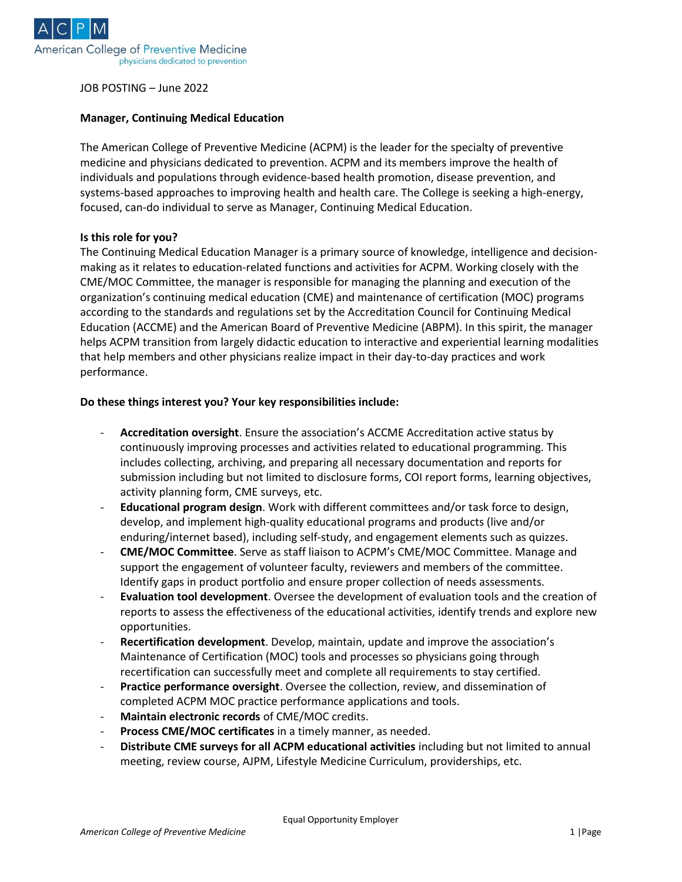

JOB POSTING – June 2022

#### **Manager, Continuing Medical Education**

The American College of Preventive Medicine (ACPM) is the leader for the specialty of preventive medicine and physicians dedicated to prevention. ACPM and its members improve the health of individuals and populations through evidence-based health promotion, disease prevention, and systems-based approaches to improving health and health care. The College is seeking a high-energy, focused, can-do individual to serve as Manager, Continuing Medical Education.

### **Is this role for you?**

The Continuing Medical Education Manager is a primary source of knowledge, intelligence and decisionmaking as it relates to education-related functions and activities for ACPM. Working closely with the CME/MOC Committee, the manager is responsible for managing the planning and execution of the organization's continuing medical education (CME) and maintenance of certification (MOC) programs according to the standards and regulations set by the Accreditation Council for Continuing Medical Education (ACCME) and the American Board of Preventive Medicine (ABPM). In this spirit, the manager helps ACPM transition from largely didactic education to interactive and experiential learning modalities that help members and other physicians realize impact in their day-to-day practices and work performance.

### **Do these things interest you? Your key responsibilities include:**

- **Accreditation oversight**. Ensure the association's ACCME Accreditation active status by continuously improving processes and activities related to educational programming. This includes collecting, archiving, and preparing all necessary documentation and reports for submission including but not limited to disclosure forms, COI report forms, learning objectives, activity planning form, CME surveys, etc.
- **Educational program design**. Work with different committees and/or task force to design, develop, and implement high-quality educational programs and products (live and/or enduring/internet based), including self-study, and engagement elements such as quizzes.
- **CME/MOC Committee**. Serve as staff liaison to ACPM's CME/MOC Committee. Manage and support the engagement of volunteer faculty, reviewers and members of the committee. Identify gaps in product portfolio and ensure proper collection of needs assessments.
- **Evaluation tool development**. Oversee the development of evaluation tools and the creation of reports to assess the effectiveness of the educational activities, identify trends and explore new opportunities.
- **Recertification development**. Develop, maintain, update and improve the association's Maintenance of Certification (MOC) tools and processes so physicians going through recertification can successfully meet and complete all requirements to stay certified.
- **Practice performance oversight**. Oversee the collection, review, and dissemination of completed ACPM MOC practice performance applications and tools.
- Maintain electronic records of CME/MOC credits.
- Process CME/MOC certificates in a timely manner, as needed.
- **Distribute CME surveys for all ACPM educational activities** including but not limited to annual meeting, review course, AJPM, Lifestyle Medicine Curriculum, providerships, etc.